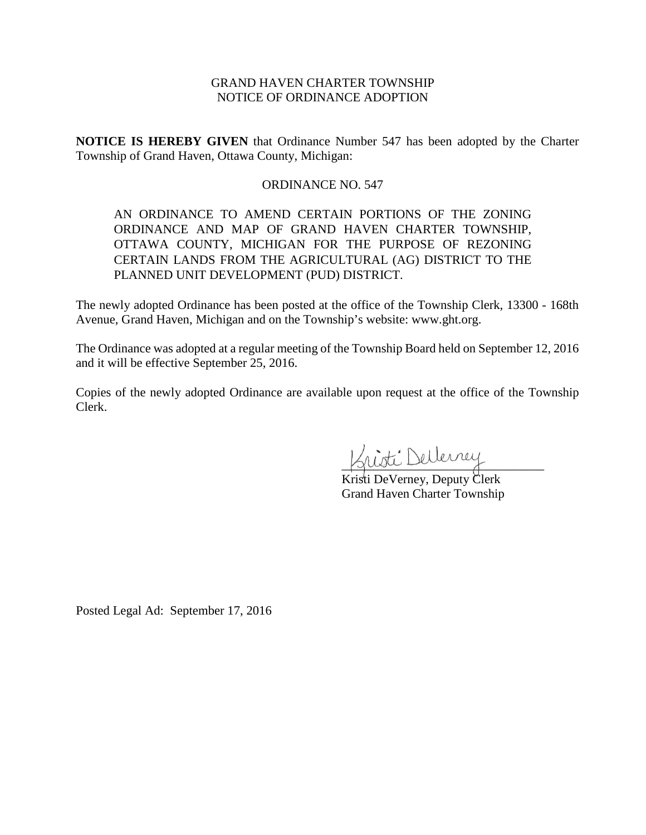# GRAND HAVEN CHARTER TOWNSHIP NOTICE OF ORDINANCE ADOPTION

**NOTICE IS HEREBY GIVEN** that Ordinance Number 547 has been adopted by the Charter Township of Grand Haven, Ottawa County, Michigan:

# ORDINANCE NO. 547

AN ORDINANCE TO AMEND CERTAIN PORTIONS OF THE ZONING ORDINANCE AND MAP OF GRAND HAVEN CHARTER TOWNSHIP, OTTAWA COUNTY, MICHIGAN FOR THE PURPOSE OF REZONING CERTAIN LANDS FROM THE AGRICULTURAL (AG) DISTRICT TO THE PLANNED UNIT DEVELOPMENT (PUD) DISTRICT.

The newly adopted Ordinance has been posted at the office of the Township Clerk, 13300 - 168th Avenue, Grand Haven, Michigan and on the Township's website: www.ght.org.

The Ordinance was adopted at a regular meeting of the Township Board held on September 12, 2016 and it will be effective September 25, 2016.

Copies of the newly adopted Ordinance are available upon request at the office of the Township Clerk.

 $\sim$ 

Kristi DeVerney, Deputy Clerk Grand Haven Charter Township

Posted Legal Ad: September 17, 2016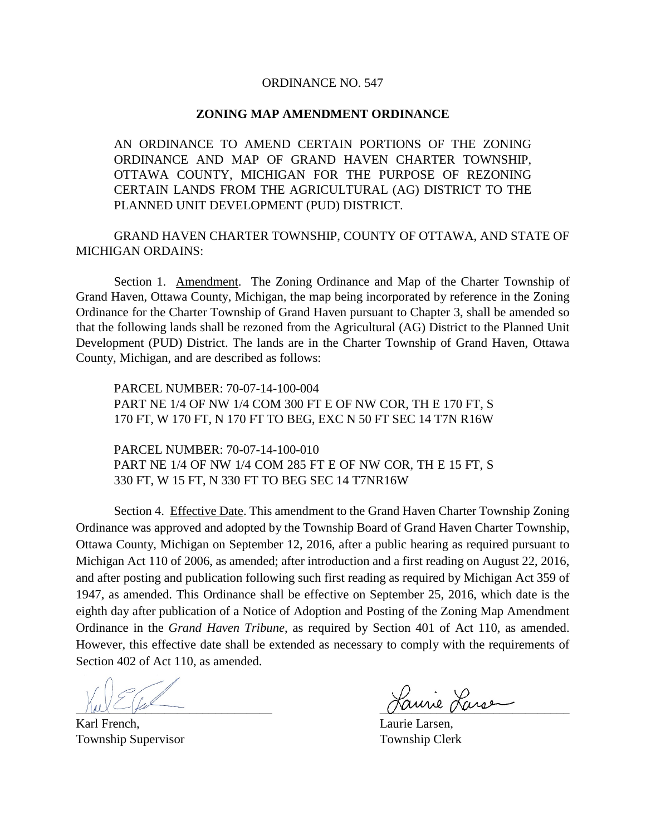## ORDINANCE NO. 547

### **ZONING MAP AMENDMENT ORDINANCE**

AN ORDINANCE TO AMEND CERTAIN PORTIONS OF THE ZONING ORDINANCE AND MAP OF GRAND HAVEN CHARTER TOWNSHIP, OTTAWA COUNTY, MICHIGAN FOR THE PURPOSE OF REZONING CERTAIN LANDS FROM THE AGRICULTURAL (AG) DISTRICT TO THE PLANNED UNIT DEVELOPMENT (PUD) DISTRICT.

GRAND HAVEN CHARTER TOWNSHIP, COUNTY OF OTTAWA, AND STATE OF MICHIGAN ORDAINS:

Section 1. Amendment. The Zoning Ordinance and Map of the Charter Township of Grand Haven, Ottawa County, Michigan, the map being incorporated by reference in the Zoning Ordinance for the Charter Township of Grand Haven pursuant to Chapter 3, shall be amended so that the following lands shall be rezoned from the Agricultural (AG) District to the Planned Unit Development (PUD) District. The lands are in the Charter Township of Grand Haven, Ottawa County, Michigan, and are described as follows:

PARCEL NUMBER: 70-07-14-100-004 PART NE 1/4 OF NW 1/4 COM 300 FT E OF NW COR, TH E 170 FT, S 170 FT, W 170 FT, N 170 FT TO BEG, EXC N 50 FT SEC 14 T7N R16W

PARCEL NUMBER: 70-07-14-100-010 PART NE 1/4 OF NW 1/4 COM 285 FT E OF NW COR, TH E 15 FT, S 330 FT, W 15 FT, N 330 FT TO BEG SEC 14 T7NR16W

Section 4. Effective Date. This amendment to the Grand Haven Charter Township Zoning Ordinance was approved and adopted by the Township Board of Grand Haven Charter Township, Ottawa County, Michigan on September 12, 2016, after a public hearing as required pursuant to Michigan Act 110 of 2006, as amended; after introduction and a first reading on August 22, 2016, and after posting and publication following such first reading as required by Michigan Act 359 of 1947, as amended. This Ordinance shall be effective on September 25, 2016, which date is the eighth day after publication of a Notice of Adoption and Posting of the Zoning Map Amendment Ordinance in the *Grand Haven Tribune*, as required by Section 401 of Act 110, as amended. However, this effective date shall be extended as necessary to comply with the requirements of Section 402 of Act 110, as amended.

Karl French, Laurie Larsen, Township Supervisor Township Clerk

\_\_\_\_\_\_\_\_\_\_\_\_\_\_\_\_\_\_\_\_\_\_\_\_\_\_\_\_\_\_\_ \_\_\_\_\_\_\_\_\_\_\_\_\_\_\_\_\_\_\_\_\_\_\_\_\_\_\_\_\_\_